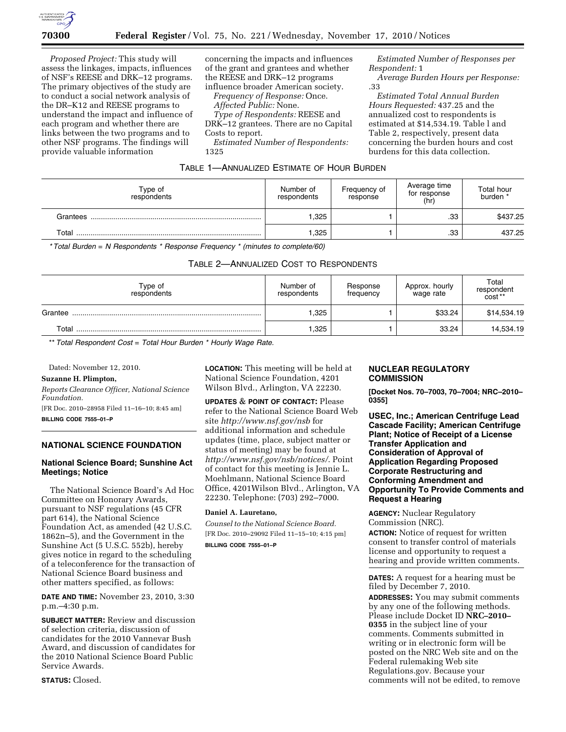

*Proposed Project:* This study will assess the linkages, impacts, influences of NSF's REESE and DRK–12 programs. The primary objectives of the study are to conduct a social network analysis of the DR–K12 and REESE programs to understand the impact and influence of each program and whether there are links between the two programs and to other NSF programs. The findings will provide valuable information

concerning the impacts and influences of the grant and grantees and whether the REESE and DRK–12 programs influence broader American society.

*Frequency of Response:* Once. *Affected Public:* None.

*Type of Respondents:* REESE and DRK–12 grantees. There are no Capital Costs to report.

*Estimated Number of Respondents:*  1325

*Estimated Number of Responses per Respondent:* 1

*Average Burden Hours per Response:*  .33

*Estimated Total Annual Burden Hours Requested:* 437.25 and the annualized cost to respondents is estimated at \$14,534.19. Table l and Table 2, respectively, present data concerning the burden hours and cost burdens for this data collection.

| Type of<br>respondents | Number of<br>respondents | Frequency of<br>response | Average time<br>for response<br>(hr) | Total hour<br>burden * |
|------------------------|--------------------------|--------------------------|--------------------------------------|------------------------|
| Grantees               | .325                     |                          | .33                                  | \$437.25               |
| Total                  | ,325                     |                          | .33                                  | 437.25                 |

TABLE 1—ANNUALIZED ESTIMATE OF HOUR BURDEN

*\* Total Burden* = *N Respondents \* Response Frequency \* (minutes to complete/60)* 

# TABLE 2—ANNUALIZED COST TO RESPONDENTS

| Type of<br>respondents | Number of<br>respondents | Response<br>frequency | Approx. hourly<br>wage rate | Total<br>respondent<br>cost** |
|------------------------|--------------------------|-----------------------|-----------------------------|-------------------------------|
| Grantee                | 325                      |                       | \$33.24                     | \$14,534.19                   |
| Total                  | 325                      |                       | 33.24                       | 14,534.19                     |

\*\* *Total Respondent Cost* = *Total Hour Burden \* Hourly Wage Rate.* 

Dated: November 12, 2010.

### **Suzanne H. Plimpton,**

*Reports Clearance Officer, National Science Foundation.* 

[FR Doc. 2010–28958 Filed 11–16–10; 8:45 am]

**BILLING CODE 7555–01–P** 

# **NATIONAL SCIENCE FOUNDATION**

## **National Science Board; Sunshine Act Meetings; Notice**

The National Science Board's Ad Hoc Committee on Honorary Awards, pursuant to NSF regulations (45 CFR part 614), the National Science Foundation Act, as amended (42 U.S.C. 1862n–5), and the Government in the Sunshine Act (5 U.S.C. 552b), hereby gives notice in regard to the scheduling of a teleconference for the transaction of National Science Board business and other matters specified, as follows:

**DATE AND TIME:** November 23, 2010, 3:30 p.m.–4:30 p.m.

**SUBJECT MATTER:** Review and discussion of selection criteria, discussion of candidates for the 2010 Vannevar Bush Award, and discussion of candidates for the 2010 National Science Board Public Service Awards.

**STATUS:** Closed.

**LOCATION:** This meeting will be held at National Science Foundation, 4201 Wilson Blvd., Arlington, VA 22230.

**UPDATES** & **POINT OF CONTACT:** Please refer to the National Science Board Web site *<http://www.nsf.gov/nsb>*for additional information and schedule updates (time, place, subject matter or status of meeting) may be found at *<http://www.nsf.gov/nsb/notices/>*. Point of contact for this meeting is Jennie L. Moehlmann, National Science Board Office, 4201Wilson Blvd., Arlington, VA 22230. Telephone: (703) 292–7000.

## **Daniel A. Lauretano,**

*Counsel to the National Science Board.*  [FR Doc. 2010–29092 Filed 11–15–10; 4:15 pm] **BILLING CODE 7555–01–P** 

#### **NUCLEAR REGULATORY COMMISSION**

**[Docket Nos. 70–7003, 70–7004; NRC–2010– 0355]** 

**USEC, Inc.; American Centrifuge Lead Cascade Facility; American Centrifuge Plant; Notice of Receipt of a License Transfer Application and Consideration of Approval of Application Regarding Proposed Corporate Restructuring and Conforming Amendment and Opportunity To Provide Comments and Request a Hearing** 

**AGENCY:** Nuclear Regulatory Commission (NRC).

**ACTION:** Notice of request for written consent to transfer control of materials license and opportunity to request a hearing and provide written comments.

**DATES:** A request for a hearing must be filed by December 7, 2010.

**ADDRESSES:** You may submit comments by any one of the following methods. Please include Docket ID **NRC–2010– 0355** in the subject line of your comments. Comments submitted in writing or in electronic form will be posted on the NRC Web site and on the Federal rulemaking Web site Regulations.gov. Because your comments will not be edited, to remove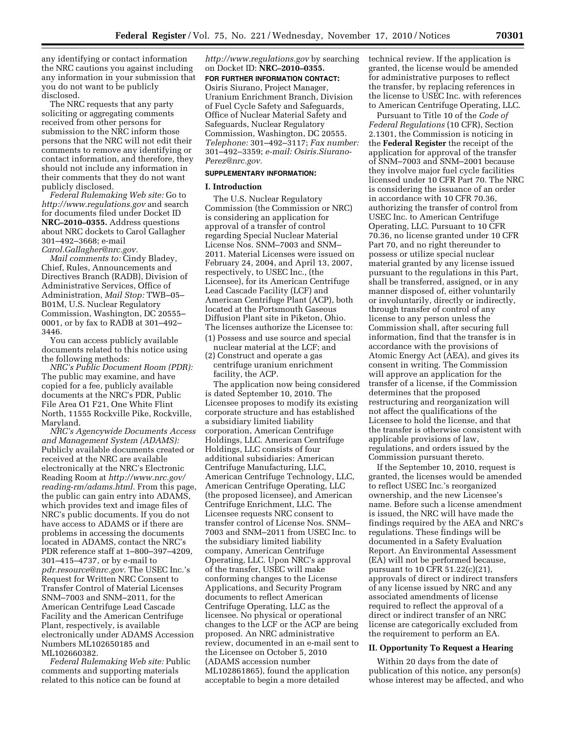any identifying or contact information the NRC cautions you against including any information in your submission that you do not want to be publicly disclosed.

The NRC requests that any party soliciting or aggregating comments received from other persons for submission to the NRC inform those persons that the NRC will not edit their comments to remove any identifying or contact information, and therefore, they should not include any information in their comments that they do not want publicly disclosed.

*Federal Rulemaking Web site:* Go to *<http://www.regulations.gov>* and search for documents filed under Docket ID **NRC–2010–0355.** Address questions about NRC dockets to Carol Gallagher 301–492–3668; e-mail *[Carol.Gallagher@nrc.gov.](mailto:Carol.Gallagher@nrc.gov)* 

*Mail comments to:* Cindy Bladey, Chief, Rules, Announcements and Directives Branch (RADB), Division of Administrative Services, Office of Administration, *Mail Stop:* TWB–05– B01M, U.S. Nuclear Regulatory Commission, Washington, DC 20555– 0001, or by fax to RADB at 301–492– 3446.

You can access publicly available documents related to this notice using the following methods:

*NRC's Public Document Room (PDR):*  The public may examine, and have copied for a fee, publicly available documents at the NRC's PDR, Public File Area O1 F21, One White Flint North, 11555 Rockville Pike, Rockville, Maryland.

*NRC's Agencywide Documents Access and Management System (ADAMS):*  Publicly available documents created or received at the NRC are available electronically at the NRC's Electronic Reading Room at *[http://www.nrc.gov/](http://www.nrc.gov/reading-rm/adams.html)  [reading-rm/adams.html.](http://www.nrc.gov/reading-rm/adams.html)* From this page, the public can gain entry into ADAMS, which provides text and image files of NRC's public documents. If you do not have access to ADAMS or if there are problems in accessing the documents located in ADAMS, contact the NRC's PDR reference staff at 1–800–397–4209, 301–415–4737, or by e-mail to *[pdr.resource@nrc.gov.](mailto:pdr.resource@nrc.gov)* The USEC Inc.'s Request for Written NRC Consent to Transfer Control of Material Licenses SNM–7003 and SNM–2011, for the American Centrifuge Lead Cascade Facility and the American Centrifuge Plant, respectively, is available electronically under ADAMS Accession Numbers ML102650185 and ML102660382.

*Federal Rulemaking Web site:* Public comments and supporting materials related to this notice can be found at

*<http://www.regulations.gov>* by searching on Docket ID: **NRC–2010–0355.** 

# **FOR FURTHER INFORMATION CONTACT:**

Osiris Siurano, Project Manager, Uranium Enrichment Branch, Division of Fuel Cycle Safety and Safeguards, Office of Nuclear Material Safety and Safeguards, Nuclear Regulatory Commission, Washington, DC 20555. *Telephone:* 301–492–3117; *Fax number:*  301–492–3359; *e-mail: [Osiris.Siurano-](mailto:Osiris.Siurano-Perez@nrc.gov)[Perez@nrc.gov.](mailto:Osiris.Siurano-Perez@nrc.gov)* 

# **SUPPLEMENTARY INFORMATION:**

#### **I. Introduction**

The U.S. Nuclear Regulatory Commission (the Commission or NRC) is considering an application for approval of a transfer of control regarding Special Nuclear Material License Nos. SNM–7003 and SNM– 2011. Material Licenses were issued on February 24, 2004, and April 13, 2007, respectively, to USEC Inc., (the Licensee), for its American Centrifuge Lead Cascade Facility (LCF) and American Centrifuge Plant (ACP), both located at the Portsmouth Gaseous Diffusion Plant site in Piketon, Ohio. The licenses authorize the Licensee to: (1) Possess and use source and special

- nuclear material at the LCF; and (2) Construct and operate a gas
- centrifuge uranium enrichment facility, the ACP.

The application now being considered is dated September 10, 2010. The Licensee proposes to modify its existing corporate structure and has established a subsidiary limited liability corporation, American Centrifuge Holdings, LLC. American Centrifuge Holdings, LLC consists of four additional subsidiaries: American Centrifuge Manufacturing, LLC, American Centrifuge Technology, LLC, American Centrifuge Operating, LLC (the proposed licensee), and American Centrifuge Enrichment, LLC. The Licensee requests NRC consent to transfer control of License Nos. SNM– 7003 and SNM–2011 from USEC Inc. to the subsidiary limited liability company, American Centrifuge Operating, LLC. Upon NRC's approval of the transfer, USEC will make conforming changes to the License Applications, and Security Program documents to reflect American Centrifuge Operating, LLC as the licensee. No physical or operational changes to the LCF or the ACP are being proposed. An NRC administrative review, documented in an e-mail sent to the Licensee on October 5, 2010 (ADAMS accession number ML102861865), found the application acceptable to begin a more detailed

technical review. If the application is granted, the license would be amended for administrative purposes to reflect the transfer, by replacing references in the license to USEC Inc. with references to American Centrifuge Operating, LLC.

Pursuant to Title 10 of the *Code of Federal Regulations* (10 CFR), Section 2.1301, the Commission is noticing in the **Federal Register** the receipt of the application for approval of the transfer of SNM–7003 and SNM–2001 because they involve major fuel cycle facilities licensed under 10 CFR Part 70. The NRC is considering the issuance of an order in accordance with 10 CFR 70.36, authorizing the transfer of control from USEC Inc. to American Centrifuge Operating, LLC. Pursuant to 10 CFR 70.36, no license granted under 10 CFR Part 70, and no right thereunder to possess or utilize special nuclear material granted by any license issued pursuant to the regulations in this Part, shall be transferred, assigned, or in any manner disposed of, either voluntarily or involuntarily, directly or indirectly, through transfer of control of any license to any person unless the Commission shall, after securing full information, find that the transfer is in accordance with the provisions of Atomic Energy Act (AEA), and gives its consent in writing. The Commission will approve an application for the transfer of a license, if the Commission determines that the proposed restructuring and reorganization will not affect the qualifications of the Licensee to hold the license, and that the transfer is otherwise consistent with applicable provisions of law, regulations, and orders issued by the Commission pursuant thereto.

If the September 10, 2010, request is granted, the licenses would be amended to reflect USEC Inc.'s reorganized ownership, and the new Licensee's name. Before such a license amendment is issued, the NRC will have made the findings required by the AEA and NRC's regulations. These findings will be documented in a Safety Evaluation Report. An Environmental Assessment (EA) will not be performed because, pursuant to 10 CFR 51.22(c)(21), approvals of direct or indirect transfers of any license issued by NRC and any associated amendments of license required to reflect the approval of a direct or indirect transfer of an NRC license are categorically excluded from the requirement to perform an EA.

#### **II. Opportunity To Request a Hearing**

Within 20 days from the date of publication of this notice, any person(s) whose interest may be affected, and who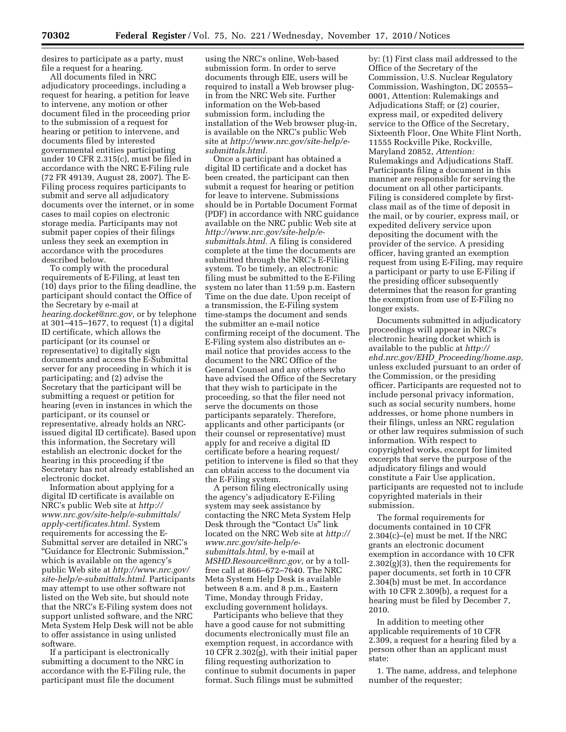desires to participate as a party, must file a request for a hearing.

All documents filed in NRC adjudicatory proceedings, including a request for hearing, a petition for leave to intervene, any motion or other document filed in the proceeding prior to the submission of a request for hearing or petition to intervene, and documents filed by interested governmental entities participating under 10 CFR 2.315(c), must be filed in accordance with the NRC E-Filing rule (72 FR 49139, August 28, 2007). The E-Filing process requires participants to submit and serve all adjudicatory documents over the internet, or in some cases to mail copies on electronic storage media. Participants may not submit paper copies of their filings unless they seek an exemption in accordance with the procedures described below.

To comply with the procedural requirements of E-Filing, at least ten (10) days prior to the filing deadline, the participant should contact the Office of the Secretary by e-mail at *[hearing.docket@nrc.gov,](mailto:hearing.docket@nrc.gov)* or by telephone at 301–415–1677, to request (1) a digital ID certificate, which allows the participant (or its counsel or representative) to digitally sign documents and access the E-Submittal server for any proceeding in which it is participating; and (2) advise the Secretary that the participant will be submitting a request or petition for hearing (even in instances in which the participant, or its counsel or representative, already holds an NRCissued digital ID certificate). Based upon this information, the Secretary will establish an electronic docket for the hearing in this proceeding if the Secretary has not already established an electronic docket.

Information about applying for a digital ID certificate is available on NRC's public Web site at *[http://](http://www.nrc.gov/site-help/e-submittals/apply-certificates.html) [www.nrc.gov/site-help/e-submittals/](http://www.nrc.gov/site-help/e-submittals/apply-certificates.html)  [apply-certificates.html.](http://www.nrc.gov/site-help/e-submittals/apply-certificates.html)* System requirements for accessing the E-Submittal server are detailed in NRC's ''Guidance for Electronic Submission,'' which is available on the agency's public Web site at *[http://www.nrc.gov/](http://www.nrc.gov/site-help/e-submittals.html) [site-help/e-submittals.html.](http://www.nrc.gov/site-help/e-submittals.html)* Participants may attempt to use other software not listed on the Web site, but should note that the NRC's E-Filing system does not support unlisted software, and the NRC Meta System Help Desk will not be able to offer assistance in using unlisted software.

If a participant is electronically submitting a document to the NRC in accordance with the E-Filing rule, the participant must file the document

using the NRC's online, Web-based submission form. In order to serve documents through EIE, users will be required to install a Web browser plugin from the NRC Web site. Further information on the Web-based submission form, including the installation of the Web browser plug-in, is available on the NRC's public Web site at *[http://www.nrc.gov/site-help/e](http://www.nrc.gov/site-help/e-submittals.html)[submittals.html.](http://www.nrc.gov/site-help/e-submittals.html)* 

Once a participant has obtained a digital ID certificate and a docket has been created, the participant can then submit a request for hearing or petition for leave to intervene. Submissions should be in Portable Document Format (PDF) in accordance with NRC guidance available on the NRC public Web site at *[http://www.nrc.gov/site-help/e](http://www.nrc.gov/site-help/e-submittals.html)[submittals.html.](http://www.nrc.gov/site-help/e-submittals.html)* A filing is considered complete at the time the documents are submitted through the NRC's E-Filing system. To be timely, an electronic filing must be submitted to the E-Filing system no later than 11:59 p.m. Eastern Time on the due date. Upon receipt of a transmission, the E-Filing system time-stamps the document and sends the submitter an e-mail notice confirming receipt of the document. The E-Filing system also distributes an email notice that provides access to the document to the NRC Office of the General Counsel and any others who have advised the Office of the Secretary that they wish to participate in the proceeding, so that the filer need not serve the documents on those participants separately. Therefore, applicants and other participants (or their counsel or representative) must apply for and receive a digital ID certificate before a hearing request/ petition to intervene is filed so that they can obtain access to the document via the E-Filing system.

A person filing electronically using the agency's adjudicatory E-Filing system may seek assistance by contacting the NRC Meta System Help Desk through the "Contact Us" link located on the NRC Web site at *[http://](http://www.nrc.gov/site-help/e-submittals.html)  [www.nrc.gov/site-help/e](http://www.nrc.gov/site-help/e-submittals.html)[submittals.html,](http://www.nrc.gov/site-help/e-submittals.html)* by e-mail at *[MSHD.Resource@nrc.gov,](mailto:MSHD.Resource@nrc.gov)* or by a tollfree call at 866–672–7640. The NRC Meta System Help Desk is available between 8 a.m. and 8 p.m., Eastern Time, Monday through Friday, excluding government holidays.

Participants who believe that they have a good cause for not submitting documents electronically must file an exemption request, in accordance with 10 CFR 2.302(g), with their initial paper filing requesting authorization to continue to submit documents in paper format. Such filings must be submitted

by: (1) First class mail addressed to the Office of the Secretary of the Commission, U.S. Nuclear Regulatory Commission, Washington, DC 20555– 0001, Attention: Rulemakings and Adjudications Staff; or (2) courier, express mail, or expedited delivery service to the Office of the Secretary, Sixteenth Floor, One White Flint North, 11555 Rockville Pike, Rockville, Maryland 20852, *Attention:*  Rulemakings and Adjudications Staff. Participants filing a document in this manner are responsible for serving the document on all other participants. Filing is considered complete by firstclass mail as of the time of deposit in the mail, or by courier, express mail, or expedited delivery service upon depositing the document with the provider of the service. A presiding officer, having granted an exemption request from using E-Filing, may require a participant or party to use E-Filing if the presiding officer subsequently determines that the reason for granting the exemption from use of E-Filing no longer exists.

Documents submitted in adjudicatory proceedings will appear in NRC's electronic hearing docket which is available to the public at *[http://](http://ehd.nrc.gov/EHD_Proceeding/home.asp)  ehd.nrc.gov/EHD*\_*[Proceeding/home.asp,](http://ehd.nrc.gov/EHD_Proceeding/home.asp)*  unless excluded pursuant to an order of the Commission, or the presiding officer. Participants are requested not to include personal privacy information, such as social security numbers, home addresses, or home phone numbers in their filings, unless an NRC regulation or other law requires submission of such information. With respect to copyrighted works, except for limited excerpts that serve the purpose of the adjudicatory filings and would constitute a Fair Use application, participants are requested not to include copyrighted materials in their submission.

The formal requirements for documents contained in 10 CFR 2.304(c)–(e) must be met. If the NRC grants an electronic document exemption in accordance with 10 CFR 2.302(g)(3), then the requirements for paper documents, set forth in 10 CFR 2.304(b) must be met. In accordance with 10 CFR 2.309(b), a request for a hearing must be filed by December 7, 2010.

In addition to meeting other applicable requirements of 10 CFR 2.309, a request for a hearing filed by a person other than an applicant must state:

1. The name, address, and telephone number of the requester;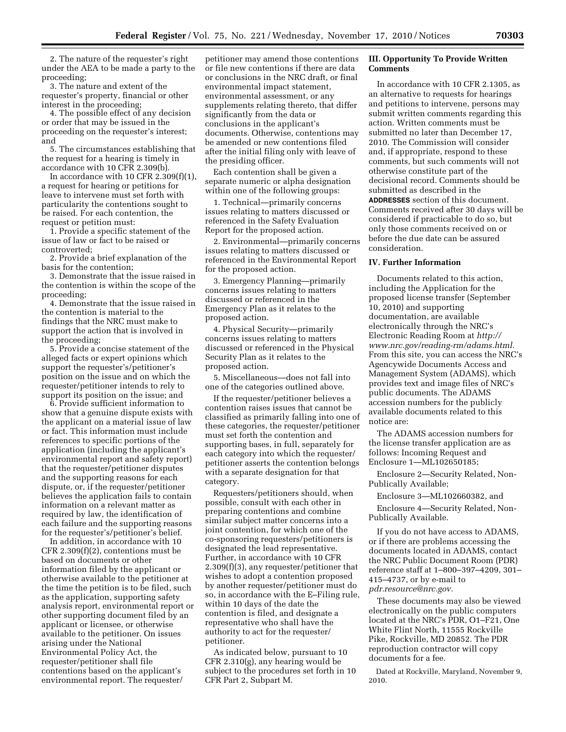2. The nature of the requester's right under the AEA to be made a party to the proceeding;

3. The nature and extent of the requester's property, financial or other interest in the proceeding;

4. The possible effect of any decision or order that may be issued in the proceeding on the requester's interest; and

5. The circumstances establishing that the request for a hearing is timely in accordance with 10 CFR 2.309(b).

In accordance with 10 CFR  $2.309(f)(1)$ , a request for hearing or petitions for leave to intervene must set forth with particularity the contentions sought to be raised. For each contention, the request or petition must:

1. Provide a specific statement of the issue of law or fact to be raised or controverted;

2. Provide a brief explanation of the basis for the contention;

3. Demonstrate that the issue raised in the contention is within the scope of the proceeding;

4. Demonstrate that the issue raised in the contention is material to the findings that the NRC must make to support the action that is involved in the proceeding;

5. Provide a concise statement of the alleged facts or expert opinions which support the requester's/petitioner's position on the issue and on which the requester/petitioner intends to rely to support its position on the issue; and

6. Provide sufficient information to show that a genuine dispute exists with the applicant on a material issue of law or fact. This information must include references to specific portions of the application (including the applicant's environmental report and safety report) that the requester/petitioner disputes and the supporting reasons for each dispute, or, if the requester/petitioner believes the application fails to contain information on a relevant matter as required by law, the identification of each failure and the supporting reasons for the requester's/petitioner's belief.

In addition, in accordance with 10 CFR 2.309(f)(2), contentions must be based on documents or other information filed by the applicant or otherwise available to the petitioner at the time the petition is to be filed, such as the application, supporting safety analysis report, environmental report or other supporting document filed by an applicant or licensee, or otherwise available to the petitioner. On issues arising under the National Environmental Policy Act, the requester/petitioner shall file contentions based on the applicant's environmental report. The requester/

petitioner may amend those contentions or file new contentions if there are data or conclusions in the NRC draft, or final environmental impact statement, environmental assessment, or any supplements relating thereto, that differ significantly from the data or conclusions in the applicant's documents. Otherwise, contentions may be amended or new contentions filed after the initial filing only with leave of the presiding officer.

Each contention shall be given a separate numeric or alpha designation within one of the following groups:

1. Technical—primarily concerns issues relating to matters discussed or referenced in the Safety Evaluation Report for the proposed action.

2. Environmental—primarily concerns issues relating to matters discussed or referenced in the Environmental Report for the proposed action.

3. Emergency Planning—primarily concerns issues relating to matters discussed or referenced in the Emergency Plan as it relates to the proposed action.

4. Physical Security—primarily concerns issues relating to matters discussed or referenced in the Physical Security Plan as it relates to the proposed action.

5. Miscellaneous—does not fall into one of the categories outlined above.

If the requester/petitioner believes a contention raises issues that cannot be classified as primarily falling into one of these categories, the requester/petitioner must set forth the contention and supporting bases, in full, separately for each category into which the requester/ petitioner asserts the contention belongs with a separate designation for that category.

Requesters/petitioners should, when possible, consult with each other in preparing contentions and combine similar subject matter concerns into a joint contention, for which one of the co-sponsoring requesters/petitioners is designated the lead representative. Further, in accordance with 10 CFR 2.309(f)(3), any requester/petitioner that wishes to adopt a contention proposed by another requester/petitioner must do so, in accordance with the E–Filing rule, within 10 days of the date the contention is filed, and designate a representative who shall have the authority to act for the requester/ petitioner.

As indicated below, pursuant to 10 CFR 2.310(g), any hearing would be subject to the procedures set forth in 10 CFR Part 2, Subpart M.

# **III. Opportunity To Provide Written Comments**

In accordance with 10 CFR 2.1305, as an alternative to requests for hearings and petitions to intervene, persons may submit written comments regarding this action. Written comments must be submitted no later than December 17, 2010. The Commission will consider and, if appropriate, respond to these comments, but such comments will not otherwise constitute part of the decisional record. Comments should be submitted as described in the **ADDRESSES** section of this document. Comments received after 30 days will be considered if practicable to do so, but only those comments received on or before the due date can be assured consideration.

#### **IV. Further Information**

Documents related to this action, including the Application for the proposed license transfer (September 10, 2010) and supporting documentation, are available electronically through the NRC's Electronic Reading Room at *[http://](http://www.nrc.gov/reading-rm/adams.html) [www.nrc.gov/reading-rm/adams.html.](http://www.nrc.gov/reading-rm/adams.html)*  From this site, you can access the NRC's Agencywide Documents Access and Management System (ADAMS), which provides text and image files of NRC's public documents. The ADAMS accession numbers for the publicly available documents related to this notice are:

The ADAMS accession numbers for the license transfer application are as follows: Incoming Request and Enclosure 1—ML102650185;

Enclosure 2—Security Related, Non-Publically Available;

Enclosure 3—ML102660382, and

Enclosure 4—Security Related, Non-Publically Available.

If you do not have access to ADAMS, or if there are problems accessing the documents located in ADAMS, contact the NRC Public Document Room (PDR) reference staff at 1–800–397–4209, 301– 415–4737, or by e-mail to *[pdr.resource@nrc.gov.](mailto:pdr.resource@nrc.gov)* 

These documents may also be viewed electronically on the public computers located at the NRC's PDR, O1–F21, One White Flint North, 11555 Rockville Pike, Rockville, MD 20852. The PDR reproduction contractor will copy documents for a fee.

Dated at Rockville, Maryland, November 9, 2010.